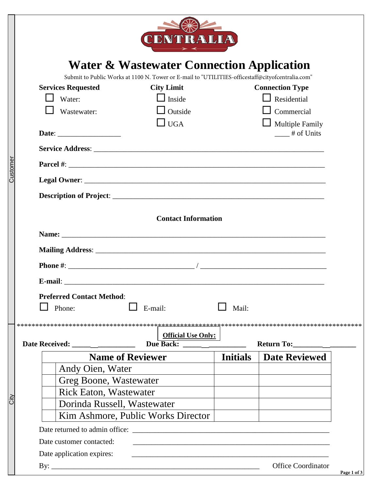| Customer |                                                      | CENTRALIA                                                                                                                              |                 |                                              |  |  |  |
|----------|------------------------------------------------------|----------------------------------------------------------------------------------------------------------------------------------------|-----------------|----------------------------------------------|--|--|--|
|          | <b>Water &amp; Wastewater Connection Application</b> |                                                                                                                                        |                 |                                              |  |  |  |
|          | <b>Services Requested</b><br>Water:                  | Submit to Public Works at 1100 N. Tower or E-mail to "UTILITIES-officestaff@cityofcentralia.com"<br><b>City Limit</b><br>$\Box$ Inside |                 | <b>Connection Type</b><br>$\Box$ Residential |  |  |  |
|          | Wastewater:                                          | $\Box$ Outside<br>$\Box$ UGA                                                                                                           |                 | $\Box$ Commercial<br>$\Box$ Multiple Family  |  |  |  |
|          |                                                      |                                                                                                                                        |                 | $\frac{1}{\sqrt{1 + 1}}$ # of Units          |  |  |  |
|          |                                                      |                                                                                                                                        |                 |                                              |  |  |  |
|          |                                                      |                                                                                                                                        |                 |                                              |  |  |  |
|          |                                                      |                                                                                                                                        |                 |                                              |  |  |  |
|          | <b>Contact Information</b>                           |                                                                                                                                        |                 |                                              |  |  |  |
|          |                                                      |                                                                                                                                        |                 |                                              |  |  |  |
|          |                                                      |                                                                                                                                        |                 |                                              |  |  |  |
|          |                                                      |                                                                                                                                        |                 |                                              |  |  |  |
|          | E-mail:                                              |                                                                                                                                        |                 |                                              |  |  |  |
|          | <b>Preferred Contact Method:</b><br>Phone:           | E-mail:                                                                                                                                | Mail:           |                                              |  |  |  |
|          | <b>Official Use Only:</b><br>Return To:              |                                                                                                                                        |                 |                                              |  |  |  |
|          |                                                      |                                                                                                                                        | <b>Initials</b> | <b>Date Reviewed</b>                         |  |  |  |
|          | <b>Name of Reviewer</b><br>Andy Oien, Water          |                                                                                                                                        |                 |                                              |  |  |  |
|          | Greg Boone, Wastewater                               |                                                                                                                                        |                 |                                              |  |  |  |
|          | <b>Rick Eaton, Wastewater</b>                        |                                                                                                                                        |                 |                                              |  |  |  |
|          | Dorinda Russell, Wastewater                          |                                                                                                                                        |                 |                                              |  |  |  |
|          | Kim Ashmore, Public Works Director                   |                                                                                                                                        |                 |                                              |  |  |  |
|          |                                                      |                                                                                                                                        |                 |                                              |  |  |  |
|          | Date customer contacted:                             |                                                                                                                                        |                 |                                              |  |  |  |
|          | Date application expires:                            |                                                                                                                                        |                 |                                              |  |  |  |
|          |                                                      |                                                                                                                                        |                 | <b>Office Coordinator</b>                    |  |  |  |
|          |                                                      |                                                                                                                                        |                 |                                              |  |  |  |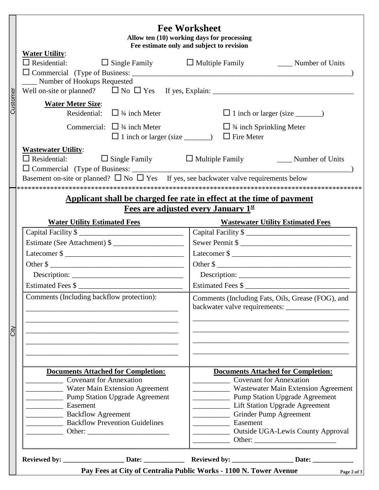|          |                                                                                                                                                             | <b>Fee Worksheet</b><br>Allow ten (10) working days for processing<br>Fee estimate only and subject to revision |  |  |  |  |
|----------|-------------------------------------------------------------------------------------------------------------------------------------------------------------|-----------------------------------------------------------------------------------------------------------------|--|--|--|--|
|          | <b>Water Utility:</b><br>$\square$ Residential:<br>$\Box$ Single Family $\Box$ Multiple Family                                                              | Number of Units                                                                                                 |  |  |  |  |
|          | _Number of Hookups Requested<br>Well on-site or planned? $\Box$ No $\Box$ Yes If yes, Explain: $\Box$ No $\Box$ Yes If yes, Explain:                        |                                                                                                                 |  |  |  |  |
| Customer | <b>Water Meter Size:</b><br>Residential: $\Box$ 3/4 inch Meter                                                                                              |                                                                                                                 |  |  |  |  |
|          | Commercial: $\Box$ 3/4 inch Meter<br>$\Box$ 1 inch or larger (size $\_\_$                                                                                   | $\Box$ 3/4 inch Sprinkling Meter<br>$\Box$ Fire Meter                                                           |  |  |  |  |
|          | <b>Wastewater Utility:</b><br>$\Box$ Residential:<br>Basement on-site or planned? $\square$ No $\square$ Yes If yes, see backwater valve requirements below | $\Box$ Single Family $\Box$ Multiple Family<br>_____ Number of Units                                            |  |  |  |  |
|          |                                                                                                                                                             | Applicant shall be charged fee rate in effect at the time of payment                                            |  |  |  |  |
|          |                                                                                                                                                             | Fees are adjusted every January 1st                                                                             |  |  |  |  |
|          | <b>Water Utility Estimated Fees</b>                                                                                                                         | <b>Wastewater Utility Estimated Fees</b>                                                                        |  |  |  |  |
|          | Capital Facility \$                                                                                                                                         | Capital Facility \$                                                                                             |  |  |  |  |
|          | Estimate (See Attachment) \$                                                                                                                                | Sewer Permit \$                                                                                                 |  |  |  |  |
|          |                                                                                                                                                             | Latecomer $\frac{1}{2}$                                                                                         |  |  |  |  |
|          | Other \$                                                                                                                                                    | Other \$                                                                                                        |  |  |  |  |
|          | Description:                                                                                                                                                | Description:                                                                                                    |  |  |  |  |
|          | Estimated Fees \$                                                                                                                                           | Estimated Fees \$                                                                                               |  |  |  |  |
|          | Comments (Including backflow protection):                                                                                                                   | Comments (Including Fats, Oils, Grease (FOG), and                                                               |  |  |  |  |
| Ğİ       |                                                                                                                                                             |                                                                                                                 |  |  |  |  |
|          | <b>Documents Attached for Completion:</b>                                                                                                                   | <b>Documents Attached for Completion:</b>                                                                       |  |  |  |  |
|          | <b>Covenant for Annexation</b>                                                                                                                              | <b>Covenant for Annexation</b>                                                                                  |  |  |  |  |
|          | Water Main Extension Agreement                                                                                                                              | Wastewater Main Extension Agreement                                                                             |  |  |  |  |
|          | <b>Pump Station Upgrade Agreement</b>                                                                                                                       | <b>EXAMPLE Pump Station Upgrade Agreement</b>                                                                   |  |  |  |  |
|          | <b>Easement</b>                                                                                                                                             | Lift Station Upgrade Agreement                                                                                  |  |  |  |  |
|          | <b>Example 2</b> Backflow Agreement<br><b>Backflow Prevention Guidelines</b>                                                                                | __ Grinder Pump Agreement<br>Easement                                                                           |  |  |  |  |
|          |                                                                                                                                                             | <b>Example 3</b> Outside UGA-Lewis County Approval                                                              |  |  |  |  |
|          |                                                                                                                                                             |                                                                                                                 |  |  |  |  |
|          |                                                                                                                                                             | Pay Fees at City of Centralia Public Works - 1100 N. Tower Avenue<br>Page 2 of 3                                |  |  |  |  |